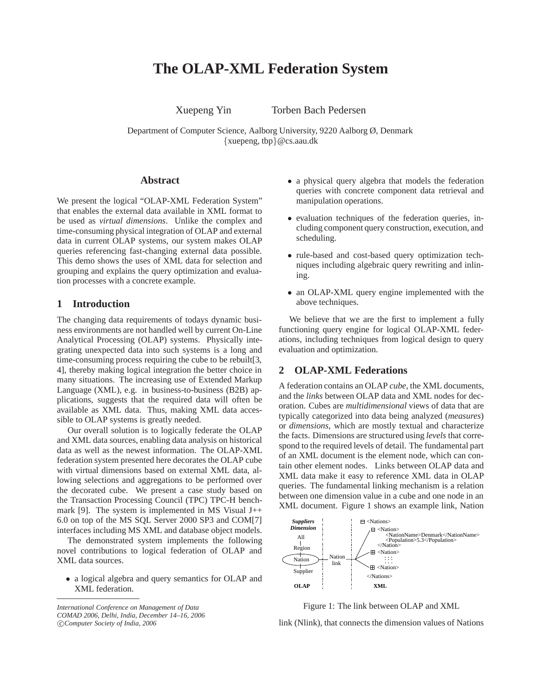# **The OLAP-XML Federation System**

Xuepeng Yin Torben Bach Pedersen

Department of Computer Science, Aalborg University, 9220 Aalborg Ø, Denmark *{*xuepeng, tbp*}*@cs.aau.dk

# **Abstract**

We present the logical "OLAP-XML Federation System" that enables the external data available in XML format to be used as *virtual dimensions*. Unlike the complex and time-consuming physical integration of OLAP and external data in current OLAP systems, our system makes OLAP queries referencing fast-changing external data possible. This demo shows the uses of XML data for selection and grouping and explains the query optimization and evaluation processes with a concrete example.

# **1 Introduction**

The changing data requirements of todays dynamic business environments are not handled well by current On-Line Analytical Processing (OLAP) systems. Physically integrating unexpected data into such systems is a long and time-consuming process requiring the cube to be rebuilt[3, 4], thereby making logical integration the better choice in many situations. The increasing use of Extended Markup Language (XML), e.g. in business-to-business (B2B) applications, suggests that the required data will often be available as XML data. Thus, making XML data accessible to OLAP systems is greatly needed.

Our overall solution is to logically federate the OLAP and XML data sources, enabling data analysis on historical data as well as the newest information. The OLAP-XML federation system presented here decorates the OLAP cube with virtual dimensions based on external XML data, allowing selections and aggregations to be performed over the decorated cube. We present a case study based on the Transaction Processing Council (TPC) TPC-H benchmark [9]. The system is implemented in MS Visual  $J++$ 6.0 on top of the MS SQL Server 2000 SP3 and COM[7] interfaces including MS XML and database object models.

The demonstrated system implements the following novel contributions to logical federation of OLAP and XML data sources.

*•* a logical algebra and query semantics for OLAP and XML federation.

*International Conference on Management of Data COMAD 2006, Delhi, India, December 14–16, 2006*

- a physical query algebra that models the federation queries with concrete component data retrieval and manipulation operations.
- *•* evaluation techniques of the federation queries, including component query construction, execution, and scheduling.
- *•* rule-based and cost-based query optimization techniques including algebraic query rewriting and inlining.
- an OLAP-XML query engine implemented with the above techniques.

We believe that we are the first to implement a fully functioning query engine for logical OLAP-XML federations, including techniques from logical design to query evaluation and optimization.

## **2 OLAP-XML Federations**

A federation contains an OLAP *cube*, the XML documents, and the *links* between OLAP data and XML nodes for decoration. Cubes are *multidimensional* views of data that are typically categorized into data being analyzed (*measures*) or *dimensions*, which are mostly textual and characterize the facts. Dimensions are structured using *levels* that correspond to the required levels of detail. The fundamental part of an XML document is the element node, which can contain other element nodes. Links between OLAP data and XML data make it easy to reference XML data in OLAP queries. The fundamental linking mechanism is a relation between one dimension value in a cube and one node in an XML document. Figure 1 shows an example link, Nation



Figure 1: The link between OLAP and XML

link (Nlink), that connects the dimension values of Nations

c *Computer Society of India, 2006*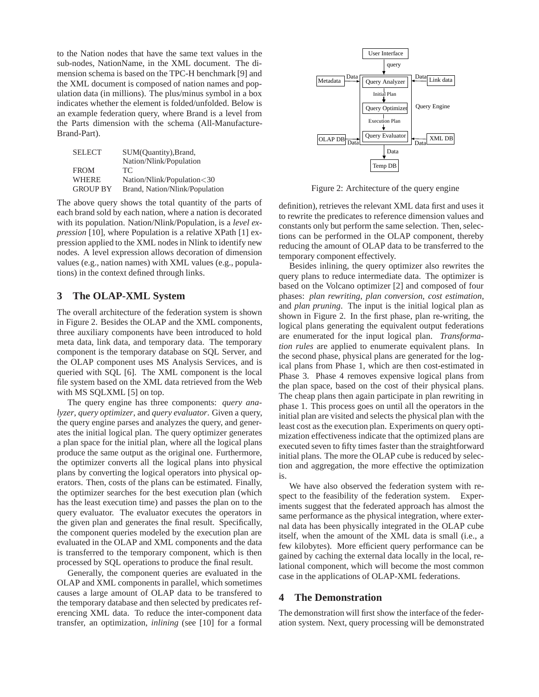to the Nation nodes that have the same text values in the sub-nodes, NationName, in the XML document. The dimension schema is based on the TPC-H benchmark [9] and the XML document is composed of nation names and population data (in millions). The plus/minus symbol in a box indicates whether the element is folded/unfolded. Below is an example federation query, where Brand is a level from the Parts dimension with the schema (All-Manufacture-Brand-Part).

| <b>SELECT</b>   | SUM(Quantity), Brand,          |
|-----------------|--------------------------------|
|                 | Nation/Nlink/Population        |
| <b>FROM</b>     | TC.                            |
| <b>WHERE</b>    | Nation/Nlink/Population<30     |
| <b>GROUP BY</b> | Brand, Nation/Nlink/Population |

The above query shows the total quantity of the parts of each brand sold by each nation, where a nation is decorated with its population. Nation/Nlink/Population, is a *level expression* [10], where Population is a relative XPath [1] expression applied to the XML nodes in Nlink to identify new nodes. A level expression allows decoration of dimension values (e.g., nation names) with XML values (e.g., populations) in the context defined through links.

# **3 The OLAP-XML System**

The overall architecture of the federation system is shown in Figure 2. Besides the OLAP and the XML components, three auxiliary components have been introduced to hold meta data, link data, and temporary data. The temporary component is the temporary database on SQL Server, and the OLAP component uses MS Analysis Services, and is queried with SQL [6]. The XML component is the local file system based on the XML data retrieved from the Web with MS SQLXML [5] on top.

The query engine has three components: *query analyzer*, *query optimizer*, and *query evaluator*. Given a query, the query engine parses and analyzes the query, and generates the initial logical plan. The query optimizer generates a plan space for the initial plan, where all the logical plans produce the same output as the original one. Furthermore, the optimizer converts all the logical plans into physical plans by converting the logical operators into physical operators. Then, costs of the plans can be estimated. Finally, the optimizer searches for the best execution plan (which has the least execution time) and passes the plan on to the query evaluator. The evaluator executes the operators in the given plan and generates the final result. Specifically, the component queries modeled by the execution plan are evaluated in the OLAP and XML components and the data is transferred to the temporary component, which is then processed by SQL operations to produce the final result.

Generally, the component queries are evaluated in the OLAP and XML components in parallel, which sometimes causes a large amount of OLAP data to be transfered to the temporary database and then selected by predicates referencing XML data. To reduce the inter-component data transfer, an optimization, *inlining* (see [10] for a formal



Figure 2: Architecture of the query engine

definition), retrieves the relevant XML data first and uses it to rewrite the predicates to reference dimension values and constants only but perform the same selection. Then, selections can be performed in the OLAP component, thereby reducing the amount of OLAP data to be transferred to the temporary component effectively.

Besides inlining, the query optimizer also rewrites the query plans to reduce intermediate data. The optimizer is based on the Volcano optimizer [2] and composed of four phases: *plan rewriting*, *plan conversion*, *cost estimation*, and *plan pruning*. The input is the initial logical plan as shown in Figure 2. In the first phase, plan re-writing, the logical plans generating the equivalent output federations are enumerated for the input logical plan. *Transformation rules* are applied to enumerate equivalent plans. In the second phase, physical plans are generated for the logical plans from Phase 1, which are then cost-estimated in Phase 3. Phase 4 removes expensive logical plans from the plan space, based on the cost of their physical plans. The cheap plans then again participate in plan rewriting in phase 1. This process goes on until all the operators in the initial plan are visited and selects the physical plan with the least cost as the execution plan. Experiments on query optimization effectiveness indicate that the optimized plans are executed seven to fifty times faster than the straightforward initial plans. The more the OLAP cube is reduced by selection and aggregation, the more effective the optimization is.

We have also observed the federation system with respect to the feasibility of the federation system. Experiments suggest that the federated approach has almost the same performance as the physical integration, where external data has been physically integrated in the OLAP cube itself, when the amount of the XML data is small (i.e., a few kilobytes). More efficient query performance can be gained by caching the external data locally in the local, relational component, which will become the most common case in the applications of OLAP-XML federations.

## **4 The Demonstration**

The demonstration will first show the interface of the federation system. Next, query processing will be demonstrated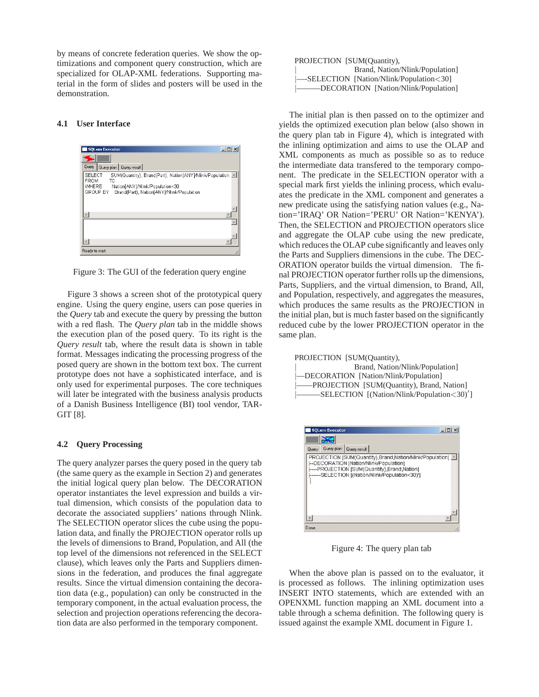by means of concrete federation queries. We show the optimizations and component query construction, which are specialized for OLAP-XML federations. Supporting material in the form of slides and posters will be used in the demonstration.

#### **4.1 User Interface**



Figure 3: The GUI of the federation query engine

Figure 3 shows a screen shot of the prototypical query engine. Using the query engine, users can pose queries in the *Query* tab and execute the query by pressing the button with a red flash. The *Query plan* tab in the middle shows the execution plan of the posed query. To its right is the *Query result* tab, where the result data is shown in table format. Messages indicating the processing progress of the posed query are shown in the bottom text box. The current prototype does not have a sophisticated interface, and is only used for experimental purposes. The core techniques will later be integrated with the business analysis products of a Danish Business Intelligence (BI) tool vendor, TAR-GIT [8].

#### **4.2 Query Processing**

The query analyzer parses the query posed in the query tab (the same query as the example in Section 2) and generates the initial logical query plan below. The DECORATION operator instantiates the level expression and builds a virtual dimension, which consists of the population data to decorate the associated suppliers' nations through Nlink. The SELECTION operator slices the cube using the population data, and finally the PROJECTION operator rolls up the levels of dimensions to Brand, Population, and All (the top level of the dimensions not referenced in the SELECT clause), which leaves only the Parts and Suppliers dimensions in the federation, and produces the final aggregate results. Since the virtual dimension containing the decoration data (e.g., population) can only be constructed in the temporary component, in the actual evaluation process, the selection and projection operations referencing the decoration data are also performed in the temporary component.

| PROJECTION [SUM(Quantity),                     |
|------------------------------------------------|
| Brand, Nation/Nlink/Population]                |
| -SELECTION [Nation/Nlink/Population<30]        |
| ----------DECORATION [Nation/Nlink/Population] |

The initial plan is then passed on to the optimizer and yields the optimized execution plan below (also shown in the query plan tab in Figure 4), which is integrated with the inlining optimization and aims to use the OLAP and XML components as much as possible so as to reduce the intermediate data transfered to the temporary component. The predicate in the SELECTION operator with a special mark first yields the inlining process, which evaluates the predicate in the XML component and generates a new predicate using the satisfying nation values (e.g., Nation='IRAQ' OR Nation='PERU' OR Nation='KENYA'). Then, the SELECTION and PROJECTION operators slice and aggregate the OLAP cube using the new predicate, which reduces the OLAP cube significantly and leaves only the Parts and Suppliers dimensions in the cube. The DEC-ORATION operator builds the virtual dimension. The final PROJECTION operator further rolls up the dimensions, Parts, Suppliers, and the virtual dimension, to Brand, All, and Population, respectively, and aggregates the measures, which produces the same results as the PROJECTION in the initial plan, but is much faster based on the significantly reduced cube by the lower PROJECTION operator in the same plan.

| PROJECTION [SUM(Quantity),                 |
|--------------------------------------------|
| Brand, Nation/Nlink/Population]            |
| -DECORATION [Nation/Nlink/Population]      |
| -PROJECTION [SUM(Quantity), Brand, Nation] |
| -SELECTION [(Nation/Nlink/Population<30)'] |
|                                            |



Figure 4: The query plan tab

When the above plan is passed on to the evaluator, it is processed as follows. The inlining optimization uses INSERT INTO statements, which are extended with an OPENXML function mapping an XML document into a table through a schema definition. The following query is issued against the example XML document in Figure 1.